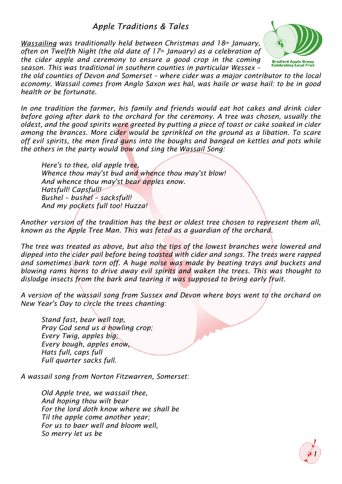**Apple Traditions & Tales** 

 *was traditionally held between Christmas and 18th January, often on Twelfth Night (the old date of 17th January) as a celebration of the cider apple and ceremony to ensure a good crop in the coming season. This was traditional in southern counties in particular Wessex –*



*the old counties of Devon and Somerset – where cider was a major contributor to the local economy. Wassail comes from Anglo Saxon wes hal, was haile or wase hail: to be in good health or be fortunate.*

*In one tradition the farmer, his family and friends would eat hot cakes and drink cider before going after dark to the orchard for the ceremony. A tree was chosen, usually the oldest, and the good spirits were greeted by putting a piece of toast or cake soaked in cider among the brances. More cider would be sprinkled on the ground as a libation. To scare off evil spirits, the men fired guns into the boughs and banged on kettles and pots while the others in the party would bow and sing the Wassail Song:*

*Here's to thee, old apple tree, Whence thou may'st bud and whence thou may'st blow! And whence thou may'st bear apples enow. Hatsfull! Capsfull! Bushel – bushel – sacksfull! And my pockets full too! Huzza!*

*Another version of the tradition has the best or oldest tree chosen to represent them all, known as the Apple Tree Man. This was feted as a guardian of the orchard.*

*The tree was treated as above, but also the tips of the lowest branches were lowered and dipped into the cider pail before being toasted with cider and songs. The trees were rapped and sometimes bark torn off. A huge noise was made by beating trays and buckets and blowing rams horns to drive away evil spirits and waken the trees. This was thought to dislodge insects from the bark and tearing it was supposed to bring early fruit.*

*A version of the wassail song from Sussex and Devon where boys went to the orchard on New Year's Day to circle the trees chanting:*

*Stand fast, bear well top, Pray God send us a howling crop; Every Twig, apples big; Every bough, apples enow, Hats full, caps full Full quarter sacks full.*

*A wassail song from Norton Fitzwarren, Somerset:*

*Old Apple tree, we wassail thee, And hoping thou wilt bear For the lord doth know where we shall be Til the apple come another year; For us to baer well and bloom well, So merry let us be*

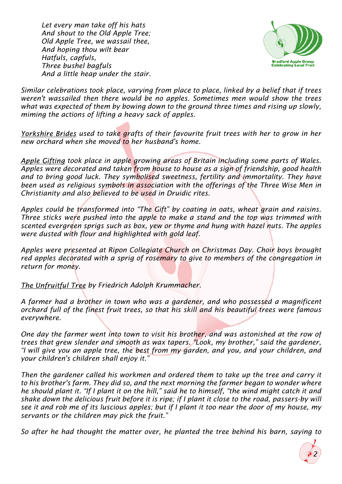*Let every man take off his hats And shout to the Old Apple Tree; Old Apple Tree, we wassail thee, And hoping thou wilt bear Hatfuls, capfuls, Three bushel bagfuls And a little heap under the stair.*



*Similar celebrations took place, varying from place to place, linked by a belief that if trees weren't wassailed then there would be no apples. Sometimes men would show the trees what was expected of them by bowing down to the ground three times and rising up slowly, miming the actions of lifting a heavy sack of apples.*

*Yorkshire Brides used to take grafts of their favourite fruit trees with her to grow in her new orchard when she moved to her husband's home.*

*took place in apple growing areas of Britain including some parts of Wales. Apples were decorated and taken from house to house as a sign of friendship, good health and to bring good luck. They symbolised sweetness, fertility and immortality. They have been used as religious symbols in association with the offerings of the Three Wise Men in Christianity and also believed to be used in Druidic rites.*

*Apples could be transformed into "The Gift" by coating in oats, wheat grain and raisins. Three sticks were pushed into the apple to make a stand and the top was trimmed with scented evergreen sprigs such as box, yew or thyme and hung with hazel nuts. The apples were dusted with flour and highlighted with gold leaf.*

*Apples were presented at Ripon Collegiate Church on Christmas Day. Choir boys brought red apples decorated with a sprig of rosemary to give to members of the congregation in return for money.*

**The Unfruitful Tree by Friedrich Adolph Krummacher.** 

*A farmer had a brother in town who was a gardener, and who possessed a magnificent orchard full of the finest fruit trees, so that his skill and his beautiful trees were famous everywhere.*

*One day the farmer went into town to visit his brother, and was astonished at the row of trees that grew slender and smooth as wax tapers. "Look, my brother," said the gardener, "I will give you an apple tree, the best from my garden, and you, and your children, and your children's children shall enjoy it."*

*Then the gardener called his workmen and ordered them to take up the tree and carry it to his brother's farm. They did so, and the next morning the farmer began to wonder where he should plant it. "If I plant it on the hill," said he to himself, "the wind might catch it and shake down the delicious fruit before it is ripe; if I plant it close to the road, passers-by will see it and rob me of its luscious apples; but if I plant it too near the door of my house, my servants or the children may pick the fruit."*

*So after he had thought the matter over, he planted the tree behind his barn, saying to*

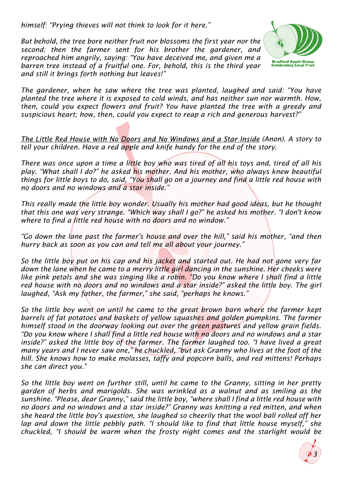*himself: "Prying thieves will not think to look for it here."*

*But behold, the tree bore neither fruit nor blossoms the first year nor the second; then the farmer sent for his brother the gardener, and reproached him angrily, saying: "You have deceived me, and given me a barren tree instead of a fruitful one. For, behold, this is the third year and still it brings forth nothing but leaves!"*



*The gardener, when he saw where the tree was planted, laughed and said: "You have planted the tree where it is exposed to cold winds, and has neither sun nor warmth. How, then, could you expect flowers and fruit? You have planted the tree with a greedy and suspicious heart; how, then, could you expect to reap a rich and generous harvest?"*

The Little Red House with No Doors and No Windows and a Star Inside (Anon). A story to *tell your children. Have a red apple and knife handy for the end of the story.*

*There was once upon a time a little boy who was tired of all his toys and, tired of all his play. "What shall I do?" he asked his mother. And his mother, who always knew beautiful things for little boys to do, said, "You shall go on a journey and find a little red house with no doors and no windows and a star inside."*

*This really made the little boy wonder. Usually his mother had good ideas, but he thought that this one was very strange. "Which way shall I go?" he asked his mother. "I don't know where to find a little red house with no doors and no window."*

*"Go down the lane past the farmer's house and over the hill," said his mother, "and then hurry back as soon as you can and tell me all about your journey."*

*So the little boy put on his cap and his jacket and started out. He had not gone very far down the lane when he came to a merry little girl dancing in the sunshine. Her cheeks were like pink petals and she was singing like a robin. "Do you know where I shall find a little red house with no doors and no windows and a star inside?" asked the little boy. The girl laughed, "Ask my father, the farmer," she said, "perhaps he knows."*

*So the little boy went on until he came to the great brown barn where the farmer kept barrels of fat potatoes and baskets of yellow squashes and golden pumpkins. The farmer himself stood in the doorway looking out over the green pastures and yellow grain fields. "Do you know where I shall find a little red house with no doors and no windows and a star inside?" asked the little boy of the farmer. The farmer laughed too. "I have lived a great many years and I never saw one," he chuckled, "but ask Granny who lives at the foot of the hill. She knows how to make molasses, taffy and popcorn balls, and red mittens! Perhaps she can direct you."*

*So the little boy went on further still, until he came to the Granny, sitting in her pretty garden of herbs and marigolds. She was wrinkled as a walnut and as smiling as the sunshine. "Please, dear Granny," said the little boy, "where shall I find a little red house with no doors and no windows and a star inside?" Granny was knitting a red mitten, and when she heard the little boy's question, she laughed so cheerily that the wool ball rolled off her lap and down the little pebbly path. "I should like to find that little house myself," she chuckled, "I should be warm when the frosty night comes and the starlight would be*